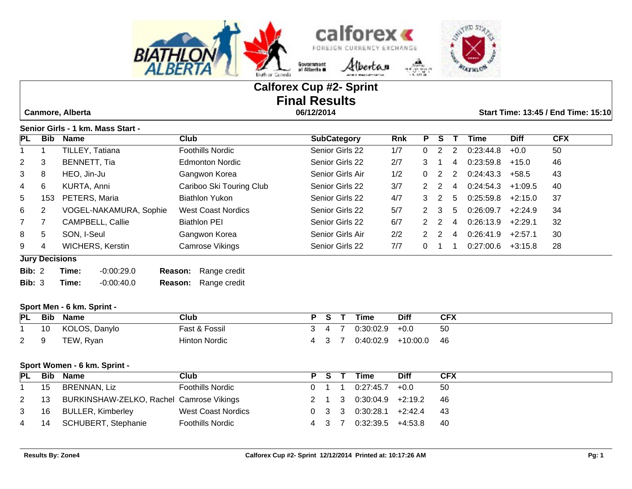



# **Calforex Cup #2- Sprint Final Results**

 **Canmore, Alberta 06/12/2014 Start Time: 13:45 / End Time: 15:10**

**Senior Girls - 1 km. Mass Start -** 

| PL            | Bib                   | <b>Name</b>             | Club                      | <b>SubCategory</b> | <b>Rnk</b> | Р             | S.            |   | Time      | <b>Diff</b> | <b>CFX</b> |
|---------------|-----------------------|-------------------------|---------------------------|--------------------|------------|---------------|---------------|---|-----------|-------------|------------|
|               |                       | TILLEY, Tatiana         | Foothills Nordic          | Senior Girls 22    | 1/7        | 0             | 2             | 2 | 0:23:44.8 | $+0.0$      | 50         |
| $2^{\circ}$   | 3                     | BENNETT, Tia            | <b>Edmonton Nordic</b>    | Senior Girls 22    | 2/7        | 3             |               | 4 | 0:23:59.8 | $+15.0$     | 46         |
| 3             | 8                     | HEO, Jin-Ju             | Gangwon Korea             | Senior Girls Air   | 1/2        | 0             | 2             | 2 | 0:24:43.3 | $+58.5$     | 43         |
| 4             | 6                     | KURTA, Anni             | Cariboo Ski Touring Club  | Senior Girls 22    | 3/7        | 2             | 2             | 4 | 0:24:54.3 | $+1:09.5$   | 40         |
| 5             | 153                   | PETERS, Maria           | <b>Biathlon Yukon</b>     | Senior Girls 22    | 4/7        | 3             | $\mathcal{P}$ | 5 | 0:25:59.8 | $+2:15.0$   | 37         |
| 6             | $\overline{2}$        | VOGEL-NAKAMURA, Sophie  | <b>West Coast Nordics</b> | Senior Girls 22    | 5/7        |               | $2 \quad 3$   | 5 | 0:26:09.7 | $+2:24.9$   | 34         |
| $7^{\circ}$   |                       | CAMPBELL, Callie        | <b>Biathlon PEI</b>       | Senior Girls 22    | 6/7        |               | 2 2           | 4 | 0:26:13.9 | $+2:29.1$   | 32         |
| 8             | 5                     | SON, I-Seul             | Gangwon Korea             | Senior Girls Air   | 2/2        | $\mathcal{P}$ | 2             | 4 | 0:26:41.9 | $+2:57.1$   | 30         |
| 9             | 4                     | <b>WICHERS, Kerstin</b> | Camrose Vikings           | Senior Girls 22    | 7/7        | 0             |               |   | 0:27:00.6 | $+3:15.8$   | 28         |
|               | <b>Jury Decisions</b> |                         |                           |                    |            |               |               |   |           |             |            |
| Bib: $2$      |                       | Time:<br>$-0.00:29.0$   | Range credit<br>Reason:   |                    |            |               |               |   |           |             |            |
| <b>Bib: 3</b> |                       | $-0.00:40.0$<br>Time:   | Range credit<br>Reason:   |                    |            |               |               |   |           |             |            |

#### **Sport Men - 6 km. Sprint -**

| PL          | Bib | Name          | Club          | c. | Time      | <b>Diff</b> | <b>CFX</b> |
|-------------|-----|---------------|---------------|----|-----------|-------------|------------|
|             | 10  | KOLOS, Danylo | Fast & Fossil |    | 0:30:02.9 | $+0.0$      | 50         |
| $2^{\circ}$ |     | TEW, Ryan     | Hinton Nordic |    | 0:40:02.9 | +10:00.0    | 46         |

#### **Sport Women - 6 km. Sprint -**

| PL             |    | <b>Bib Name</b>                               | Club                      | PS T | <b>Time</b>                         | <b>Diff</b>                  | <b>CFX</b> |
|----------------|----|-----------------------------------------------|---------------------------|------|-------------------------------------|------------------------------|------------|
|                | 15 | BRENNAN, Liz                                  | <b>Foothills Nordic</b>   |      | $0 \quad 1 \quad 1 \quad 0.27.45.7$ | $+0.0$                       | -50        |
|                |    | 2 13 BURKINSHAW-ZELKO, Rachel Camrose Vikings |                           |      |                                     | 2 1 3 0:30:04.9 +2:19.2 46   |            |
| 3 <sup>1</sup> |    | 16 BULLER, Kimberley                          | <b>West Coast Nordics</b> |      |                                     | $0$ 3 3 0:30:28.1 +2:42.4 43 |            |
|                |    | 4 14 SCHUBERT, Stephanie                      | <b>Foothills Nordic</b>   |      | 4 3 7 0:32:39.5 +4:53.8             |                              | - 40       |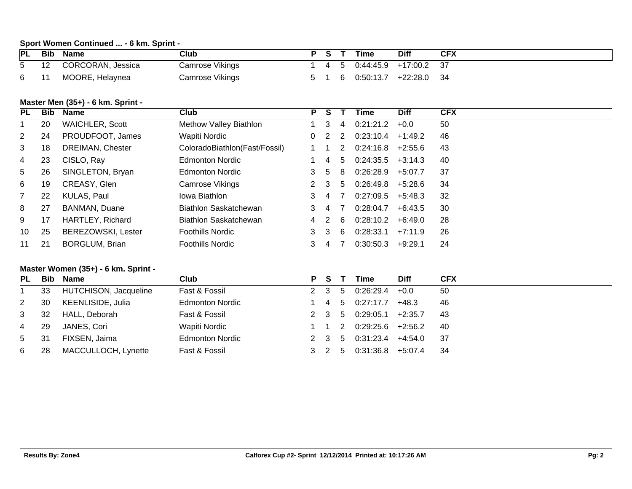## **Sport Women Continued ... - 6 km. Sprint -**

| <b>PL</b>   | Bib | <b>Name</b>       | Club            |    |    | Time                   | Diff | <b>CFX</b> |
|-------------|-----|-------------------|-----------------|----|----|------------------------|------|------------|
| $5^{\circ}$ | 12  | CORCORAN, Jessica | Camrose Vikings | 45 |    | $0.44.45.9$ +17:00.2 : |      |            |
| 6           |     | MOORE, Helaynea   | Camrose Vikings |    | -6 | $0:50:13.7$ +22:28.0   |      | -34        |

#### **Master Men (35+) - 6 km. Sprint -**

| PL             | Bib | <b>Name</b>               | Club                          | P   |    |    | Time      | <b>Diff</b> | <b>CFX</b> |
|----------------|-----|---------------------------|-------------------------------|-----|----|----|-----------|-------------|------------|
|                | 20  | <b>WAICHLER, Scott</b>    | Methow Valley Biathlon        |     | 3  | -4 | 0:21:21.2 | $+0.0$      | 50         |
| $\overline{2}$ | 24  | PROUDFOOT, James          | Wapiti Nordic                 | 0   | 2  | -2 | 0:23:10.4 | $+1:49.2$   | 46         |
| 3              | 18  | <b>DREIMAN, Chester</b>   | ColoradoBiathlon(Fast/Fossil) |     |    | 2  | 0:24:16.8 | $+2:55.6$   | 43         |
| 4              | 23  | CISLO, Ray                | <b>Edmonton Nordic</b>        |     | 4  | 5  | 0.24.35.5 | $+3:14.3$   | 40         |
| 5 <sup>5</sup> | 26  | SINGLETON, Bryan          | <b>Edmonton Nordic</b>        | 3   | .5 | -8 | 0:26:28.9 | +5:07.7     | 37         |
| 6              | 19  | CREASY, Glen              | Camrose Vikings               | 2 3 |    | 5. | 0:26:49.8 | $+5:28.6$   | 34         |
| $\overline{7}$ | 22  | KULAS, Paul               | Iowa Biathlon                 |     | 4  |    | 0:27:09.5 | $+5:48.3$   | 32         |
| 8              | 27  | <b>BANMAN, Duane</b>      | Biathlon Saskatchewan         |     | 4  |    | 0:28:04.7 | $+6:43.5$   | 30         |
| 9              | 17  | HARTLEY, Richard          | Biathlon Saskatchewan         | 4 2 |    | -6 | 0:28:10.2 | +6:49.0     | 28         |
| 10             | 25  | <b>BEREZOWSKI, Lester</b> | <b>Foothills Nordic</b>       | 3 3 |    | 6  | 0:28:33.1 | $+7:11.9$   | 26         |
| 11             | 21  | <b>BORGLUM, Brian</b>     | <b>Foothills Nordic</b>       | 3.  | 4  |    | 0.30.50.3 | $+9:29.1$   | 24         |

#### **Master Women (35+) - 6 km. Sprint -**

| PL             |     | <b>Bib Name</b>       | Club                   | PS T  | Time                  | <b>Diff</b> | <b>CFX</b> |
|----------------|-----|-----------------------|------------------------|-------|-----------------------|-------------|------------|
|                | 33  | HUTCHISON, Jacqueline | Fast & Fossil          | 2 3 5 | $0.26.29.4$ +0.0      |             | 50         |
| $\mathbf{2}$   | 30  | KEENLISIDE, Julia     | <b>Edmonton Nordic</b> |       | 1 4 5 0:27:17.7       | +48.3       | 46         |
| 3              | 32  | HALL, Deborah         | Fast & Fossil          | 2 3 5 | $0.29:05.1$ +2:35.7   |             | 43         |
| 4              | -29 | JANES, Cori           | Wapiti Nordic          |       | $0.29.25.6$ +2.56.2   |             | -40        |
| 5 <sub>1</sub> | 31  | FIXSEN, Jaima         | <b>Edmonton Nordic</b> | 2 3 5 | $0.31.23.4$ $+4.54.0$ |             | -37        |
| 6              | 28  | MACCULLOCH, Lynette   | Fast & Fossil          | 3 2 5 | $0.31.36.8$ +5:07.4   |             | - 34       |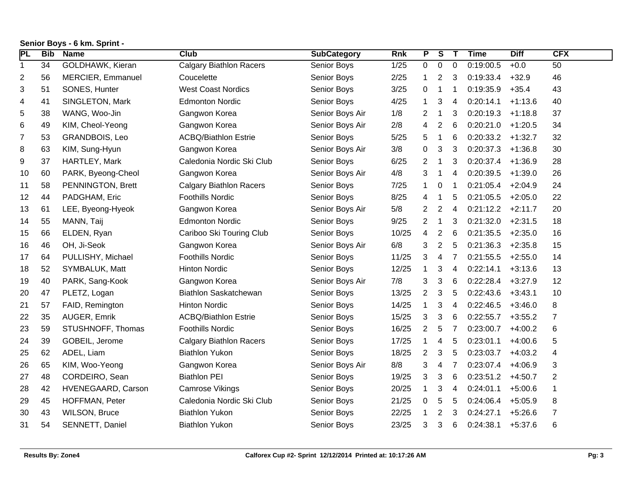| PL               | <b>Bib</b> | <b>Name</b>          | <b>Club</b>                    | <b>SubCategory</b> | <b>Rnk</b> | P              | $\overline{\mathsf{s}}$ | $\mathbf{T}$    | <b>Time</b> | <b>Diff</b> | <b>CFX</b>       |
|------------------|------------|----------------------|--------------------------------|--------------------|------------|----------------|-------------------------|-----------------|-------------|-------------|------------------|
| $\mathbf{1}$     | 34         | GOLDHAWK, Kieran     | <b>Calgary Biathlon Racers</b> | Senior Boys        | 1/25       | 0              | 0                       | $\mathbf 0$     | 0:19:00.5   | $+0.0$      | 50               |
| 2                | 56         | MERCIER, Emmanuel    | Coucelette                     | Senior Boys        | 2/25       | $\mathbf{1}$   | 2                       | 3               | 0:19:33.4   | $+32.9$     | 46               |
| 3                | 51         | SONES, Hunter        | <b>West Coast Nordics</b>      | Senior Boys        | 3/25       | 0              | 1                       | 1               | 0:19:35.9   | $+35.4$     | 43               |
| 4                | 41         | SINGLETON, Mark      | <b>Edmonton Nordic</b>         | Senior Boys        | 4/25       | $\mathbf 1$    | 3                       | 4               | 0:20:14.1   | $+1:13.6$   | 40               |
| 5                | 38         | WANG, Woo-Jin        | Gangwon Korea                  | Senior Boys Air    | 1/8        | $\overline{2}$ | $\mathbf 1$             | 3               | 0:20:19.3   | $+1:18.8$   | 37               |
| 6                | 49         | KIM, Cheol-Yeong     | Gangwon Korea                  | Senior Boys Air    | 2/8        | 4              | $\overline{2}$          | 6               | 0:20:21.0   | $+1:20.5$   | 34               |
| $\boldsymbol{7}$ | 53         | GRANDBOIS, Leo       | <b>ACBQ/Biathlon Estrie</b>    | Senior Boys        | 5/25       | 5              | $\mathbf{1}$            | $6\phantom{1}6$ | 0:20:33.2   | $+1:32.7$   | 32               |
| 8                | 63         | KIM, Sung-Hyun       | Gangwon Korea                  | Senior Boys Air    | 3/8        | 0              | 3                       | 3               | 0:20:37.3   | $+1:36.8$   | 30               |
| 9                | 37         | HARTLEY, Mark        | Caledonia Nordic Ski Club      | Senior Boys        | 6/25       | $\overline{2}$ | $\mathbf 1$             | 3               | 0:20:37.4   | $+1:36.9$   | 28               |
| 10               | 60         | PARK, Byeong-Cheol   | Gangwon Korea                  | Senior Boys Air    | 4/8        | 3              | $\mathbf 1$             | $\overline{4}$  | 0:20:39.5   | $+1:39.0$   | 26               |
| 11               | 58         | PENNINGTON, Brett    | <b>Calgary Biathlon Racers</b> | Senior Boys        | 7/25       | $\mathbf 1$    | $\pmb{0}$               | 1               | 0:21:05.4   | $+2:04.9$   | 24               |
| 12               | 44         | PADGHAM, Eric        | <b>Foothills Nordic</b>        | Senior Boys        | 8/25       | 4              | 1                       | 5               | 0:21:05.5   | $+2:05.0$   | 22               |
| 13               | 61         | LEE, Byeong-Hyeok    | Gangwon Korea                  | Senior Boys Air    | $5/8$      | $\overline{2}$ | $\boldsymbol{2}$        | $\overline{4}$  | 0:21:12.2   | $+2:11.7$   | 20               |
| 14               | 55         | MANN, Taij           | <b>Edmonton Nordic</b>         | Senior Boys        | 9/25       | $\overline{2}$ | $\mathbf{1}$            | 3               | 0:21:32.0   | $+2:31.5$   | 18               |
| 15               | 66         | ELDEN, Ryan          | Cariboo Ski Touring Club       | Senior Boys        | 10/25      | 4              | $\overline{2}$          | 6               | 0:21:35.5   | $+2:35.0$   | 16               |
| 16               | 46         | OH, Ji-Seok          | Gangwon Korea                  | Senior Boys Air    | 6/8        | 3              | $\overline{2}$          | 5               | 0:21:36.3   | $+2:35.8$   | 15               |
| 17               | 64         | PULLISHY, Michael    | <b>Foothills Nordic</b>        | Senior Boys        | 11/25      | 3              | 4                       | 7               | 0:21:55.5   | $+2:55.0$   | 14               |
| 18               | 52         | SYMBALUK, Matt       | <b>Hinton Nordic</b>           | Senior Boys        | 12/25      | 1              | 3                       | 4               | 0:22:14.1   | $+3:13.6$   | 13               |
| 19               | 40         | PARK, Sang-Kook      | Gangwon Korea                  | Senior Boys Air    | 7/8        | 3              | 3                       | $6\phantom{1}6$ | 0:22:28.4   | $+3:27.9$   | 12               |
| 20               | 47         | PLETZ, Logan         | <b>Biathlon Saskatchewan</b>   | Senior Boys        | 13/25      | $\overline{2}$ | 3                       | 5               | 0:22:43.6   | $+3:43.1$   | 10               |
| 21               | 57         | FAID, Remington      | <b>Hinton Nordic</b>           | Senior Boys        | 14/25      | $\mathbf{1}$   | 3                       | 4               | 0:22:46.5   | $+3:46.0$   | 8                |
| 22               | 35         | AUGER, Emrik         | <b>ACBQ/Biathlon Estrie</b>    | Senior Boys        | 15/25      | 3              | $\mathbf{3}$            | $6\phantom{1}6$ | 0:22:55.7   | $+3:55.2$   | $\boldsymbol{7}$ |
| 23               | 59         | STUSHNOFF, Thomas    | <b>Foothills Nordic</b>        | Senior Boys        | 16/25      | $\overline{c}$ | 5                       | $\overline{7}$  | 0:23:00.7   | $+4:00.2$   | 6                |
| 24               | 39         | GOBEIL, Jerome       | <b>Calgary Biathlon Racers</b> | Senior Boys        | 17/25      | 1              | 4                       | 5               | 0:23:01.1   | $+4:00.6$   | 5                |
| 25               | 62         | ADEL, Liam           | <b>Biathlon Yukon</b>          | Senior Boys        | 18/25      | $\overline{2}$ | 3                       | 5               | 0:23:03.7   | $+4:03.2$   | 4                |
| 26               | 65         | KIM, Woo-Yeong       | Gangwon Korea                  | Senior Boys Air    | 8/8        | 3              | 4                       | 7               | 0:23:07.4   | $+4:06.9$   | 3                |
| 27               | 48         | CORDEIRO, Sean       | <b>Biathlon PEI</b>            | Senior Boys        | 19/25      | 3              | 3                       | 6               | 0:23:51.2   | $+4:50.7$   | $\overline{2}$   |
| 28               | 42         | HVENEGAARD, Carson   | Camrose Vikings                | Senior Boys        | 20/25      | $\mathbf{1}$   | 3                       | $\overline{4}$  | 0:24:01.1   | $+5:00.6$   | 1                |
| 29               | 45         | HOFFMAN, Peter       | Caledonia Nordic Ski Club      | Senior Boys        | 21/25      | 0              | 5                       | 5               | 0:24:06.4   | $+5:05.9$   | 8                |
| 30               | 43         | <b>WILSON, Bruce</b> | <b>Biathlon Yukon</b>          | Senior Boys        | 22/25      | 1              | $\overline{2}$          | 3               | 0:24:27.1   | $+5:26.6$   | $\overline{7}$   |
| 31               | 54         | SENNETT, Daniel      | <b>Biathlon Yukon</b>          | Senior Boys        | 23/25      | 3              | 3                       | 6               | 0:24:38.1   | $+5:37.6$   | 6                |
|                  |            |                      |                                |                    |            |                |                         |                 |             |             |                  |

## **Senior Boys - 6 km. Sprint -**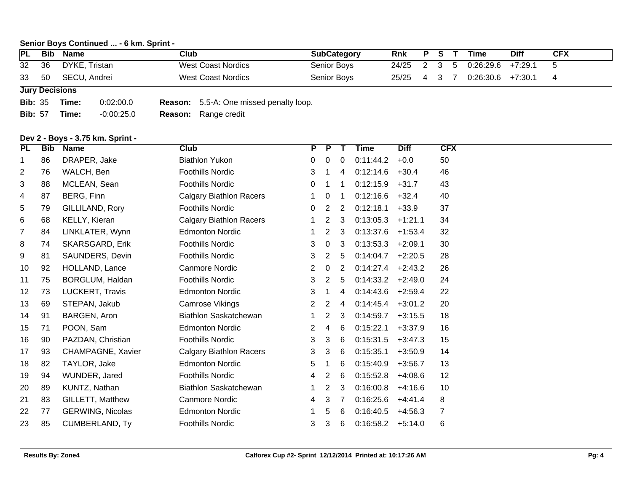#### **Senior Boys Continued ... - 6 km. Sprint -**

| <b>PL</b> | Bib | Name          | Club               | <b>SubCategory</b> | <b>Rnk</b>  | D |  | Time      | <b>Diff</b> | <b>CFX</b> |
|-----------|-----|---------------|--------------------|--------------------|-------------|---|--|-----------|-------------|------------|
| 32 36     |     | DYKE, Tristan | West Coast Nordics | Senior Boys        | 24/25 2 3 5 |   |  | 0:26:29.6 | +7:29.1     |            |
| 33 50     |     | SECU, Andrei  | West Coast Nordics | Senior Boys        | 25/25       |   |  | 0:26:30.6 | $+7:30.1$   |            |

**Jury Decisions**

**Bib:** 35 **Time:** 0:02:00.0 **Reason:** 5.5-A: One missed penalty loop.

**Bib:** 57 **Time:** -0:00:25.0 **Reason:** Range credit

#### **Dev 2 - Boys - 3.75 km. Sprint -**

| <b>PL</b>      | <b>Bib</b> | <b>Name</b>             | <b>Club</b>                    | P                     | $\overline{P}$ | $\mathsf{T}$   | <b>Time</b> | <b>Diff</b> | <b>CFX</b> |
|----------------|------------|-------------------------|--------------------------------|-----------------------|----------------|----------------|-------------|-------------|------------|
| 1              | 86         | DRAPER, Jake            | <b>Biathlon Yukon</b>          | 0                     | 0              | $\Omega$       | 0:11:44.2   | $+0.0$      | 50         |
| 2              | 76         | WALCH, Ben              | <b>Foothills Nordic</b>        | 3                     |                | $\overline{4}$ | 0:12:14.6   | $+30.4$     | 46         |
| 3              | 88         | MCLEAN, Sean            | <b>Foothills Nordic</b>        | 0                     |                | -1             | 0:12:15.9   | $+31.7$     | 43         |
| 4              | 87         | BERG, Finn              | <b>Calgary Biathlon Racers</b> |                       | 0              | -1             | 0:12:16.6   | $+32.4$     | 40         |
| 5              | 79         | GILLILAND, Rory         | <b>Foothills Nordic</b>        | 0                     | $\overline{2}$ | 2              | 0:12:18.1   | $+33.9$     | 37         |
| 6              | 68         | KELLY, Kieran           | <b>Calgary Biathlon Racers</b> |                       | $\overline{2}$ | $\mathbf{3}$   | 0:13:05.3   | $+1:21.1$   | 34         |
| $\overline{7}$ | 84         | LINKLATER, Wynn         | <b>Edmonton Nordic</b>         |                       | $\overline{2}$ | 3              | 0:13:37.6   | $+1:53.4$   | 32         |
| 8              | 74         | <b>SKARSGARD, Erik</b>  | <b>Foothills Nordic</b>        | 3                     | $\overline{0}$ | 3              | 0:13:53.3   | $+2:09.1$   | 30         |
| 9              | 81         | SAUNDERS, Devin         | <b>Foothills Nordic</b>        | 3                     | $\overline{2}$ | 5              | 0:14:04.7   | $+2:20.5$   | 28         |
| 10             | 92         | HOLLAND, Lance          | <b>Canmore Nordic</b>          | 2                     | 0              | $\overline{2}$ | 0:14:27.4   | $+2:43.2$   | 26         |
| 11             | 75         | BORGLUM, Haldan         | <b>Foothills Nordic</b>        | 3                     | $\overline{2}$ | 5              | 0:14:33.2   | $+2:49.0$   | 24         |
| 12             | 73         | LUCKERT, Travis         | <b>Edmonton Nordic</b>         | 3                     |                | 4              | 0:14:43.6   | $+2:59.4$   | 22         |
| 13             | 69         | STEPAN, Jakub           | Camrose Vikings                | $\mathbf{2}^{\prime}$ | 2              | 4              | 0:14:45.4   | $+3:01.2$   | 20         |
| 14             | 91         | BARGEN, Aron            | Biathlon Saskatchewan          |                       | $\overline{c}$ | 3              | 0:14:59.7   | $+3:15.5$   | 18         |
| 15             | 71         | POON, Sam               | <b>Edmonton Nordic</b>         | 2                     | 4              | 6              | 0:15:22.1   | $+3:37.9$   | 16         |
| 16             | 90         | PAZDAN, Christian       | <b>Foothills Nordic</b>        | 3                     | 3              | 6              | 0:15:31.5   | $+3:47.3$   | 15         |
| 17             | 93         | CHAMPAGNE, Xavier       | <b>Calgary Biathlon Racers</b> | 3                     | 3              | 6              | 0:15:35.1   | $+3:50.9$   | 14         |
| 18             | 82         | TAYLOR, Jake            | <b>Edmonton Nordic</b>         | 5                     | 1              | 6              | 0:15:40.9   | $+3:56.7$   | 13         |
| 19             | 94         | WUNDER, Jared           | <b>Foothills Nordic</b>        | 4                     | $\overline{2}$ | 6              | 0:15:52.8   | $+4:08.6$   | 12         |
| 20             | 89         | KUNTZ, Nathan           | <b>Biathlon Saskatchewan</b>   | 1.                    | $\overline{2}$ | 3              | 0:16:00.8   | $+4:16.6$   | 10         |
| 21             | 83         | GILLETT, Matthew        | Canmore Nordic                 | 4                     | 3              | 7              | 0:16:25.6   | $+4:41.4$   | 8          |
| 22             | 77         | <b>GERWING, Nicolas</b> | <b>Edmonton Nordic</b>         |                       | 5              | 6              | 0:16:40.5   | $+4:56.3$   | 7          |
| 23             | 85         | <b>CUMBERLAND, Ty</b>   | <b>Foothills Nordic</b>        | 3                     | 3              | 6              | 0:16:58.2   | $+5:14.0$   | 6          |
|                |            |                         |                                |                       |                |                |             |             |            |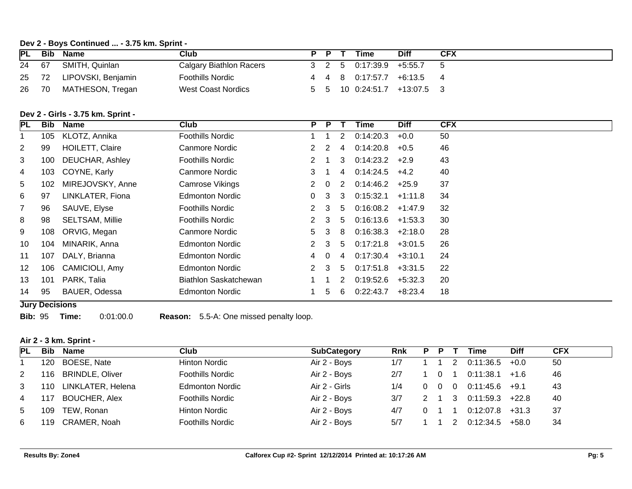#### **Dev 2 - Boys Continued ... - 3.75 km. Sprint -**

| <b>PL</b> | <b>Bib</b> | Name                     | Club                    | <b>P</b> | Time                                              | <b>Diff</b>                 | <b>CFX</b> |
|-----------|------------|--------------------------|-------------------------|----------|---------------------------------------------------|-----------------------------|------------|
| 24        | 67         | SMITH, Quinlan           | Calgary Biathlon Racers |          | $3 \quad 2 \quad 5 \quad 0.17:39.9 \quad +5:55.7$ |                             |            |
|           |            | 25 72 LIPOVSKI, Benjamin | <b>Foothills Nordic</b> |          |                                                   | 4 4 8 0.17:57.7 +6:13.5 4   |            |
| 26        | 70         | MATHESON, Tregan         | West Coast Nordics      |          |                                                   | 5 5 10 0:24:51.7 +13:07.5 3 |            |

### **Dev 2 - Girls - 3.75 km. Sprint -**

| PL             | Bib                   | Name                   | Club                   | P.            | P.       | T             | Time                | <b>Diff</b> | <b>CFX</b> |
|----------------|-----------------------|------------------------|------------------------|---------------|----------|---------------|---------------------|-------------|------------|
|                | 105                   | KLOTZ, Annika          | Foothills Nordic       |               |          | 2             | 0:14:20.3           | $+0.0$      | 50         |
| $\overline{2}$ | 99                    | <b>HOILETT, Claire</b> | Canmore Nordic         | 2             | 2        | 4             | 0:14:20.8           | $+0.5$      | 46         |
| 3              | 100                   | DEUCHAR, Ashley        | Foothills Nordic       | 2             |          | 3             | $0:14:23.2$ +2.9    |             | 43         |
| 4              | 103                   | COYNE, Karly           | Canmore Nordic         | 3             |          | 4             | 0:14:24.5           | $+4.2$      | 40         |
| 5              | 102                   | MIREJOVSKY, Anne       | <b>Camrose Vikings</b> |               | $\Omega$ | 2             | 0:14:46.2           | $+25.9$     | 37         |
| 6              | 97                    | LINKLATER, Fiona       | <b>Edmonton Nordic</b> | 0.            | 3        | $\mathcal{S}$ | 0:15:32.1           | $+1:11.8$   | 34         |
| $\overline{7}$ | 96                    | SAUVE, Elyse           | Foothills Nordic       | 2             | 3        | 5             | 0:16:08.2           | $+1:47.9$   | 32         |
| 8              | 98                    | <b>SELTSAM, Millie</b> | Foothills Nordic       | 2             | - 3      | .5            | $0:16:13.6$ +1:53.3 |             | 30         |
| 9              | 108                   | ORVIG, Megan           | Canmore Nordic         | 5             | -3       | 8             | $0.16.38.3 +2.18.0$ |             | 28         |
| 10             | 104                   | MINARIK, Anna          | Edmonton Nordic        | $\mathcal{P}$ | 3        | $5^{\circ}$   | 0:17:21.8           | $+3:01.5$   | 26         |
| 11             | 107                   | DALY, Brianna          | <b>Edmonton Nordic</b> | 4             | $\Omega$ | 4             | $0.17:30.4$ +3:10.1 |             | 24         |
| $12 \,$        | 106                   | CAMICIOLI, Amy         | <b>Edmonton Nordic</b> | 2             | 3        | 5             | 0:17:51.8           | $+3:31.5$   | 22         |
| 13             | 101                   | PARK, Talia            | Biathlon Saskatchewan  |               |          | 2             | 0.19.52.6           | $+5:32.3$   | 20         |
| 14             | 95                    | BAUER, Odessa          | <b>Edmonton Nordic</b> |               | 5.       | 6             | 0:22:43.7           | $+8:23.4$   | 18         |
|                | <b>Jury Decisions</b> |                        |                        |               |          |               |                     |             |            |

**Bib:** 95 **Time:** 0:01:00.0 **Reason:** 5.5-A: One missed penalty loop.

#### **Air 2 - 3 km. Sprint -**

| <b>IPL</b> | Bib  | Name                   | <b>Club</b>             | <b>SubCategory</b> | <b>Rnk</b> | P | P | Time      | <b>Dift</b> | <b>CFX</b> |
|------------|------|------------------------|-------------------------|--------------------|------------|---|---|-----------|-------------|------------|
|            | 120  | BOESE, Nate            | Hinton Nordic           | Air 2 - Boys       | 1/7        |   |   | 0:11:36.5 | $+0.0$      | 50         |
| 2          | 116. | <b>BRINDLE, Oliver</b> | <b>Foothills Nordic</b> | Air 2 - Boys       | 2/7        |   |   | 0:11:38.1 | $+1.6$      | 46         |
| 3          | 110  | LINKLATER, Helena      | <b>Edmonton Nordic</b>  | Air 2 - Girls      | 1/4        |   |   | 0:11:45.6 | $+9.1$      | 43         |
| 4          | 117  | <b>BOUCHER, Alex</b>   | <b>Foothills Nordic</b> | Air 2 - Boys       | 3/7        |   |   | 0:11:59.3 | $+22.8$     | 40         |
| 5          | 109  | TEW, Ronan             | Hinton Nordic           | Air 2 - Boys       | 4/7        |   |   | 0:12:07.8 | $+31.3$     | 37         |
| 6          | 119  | CRAMER, Noah           | <b>Foothills Nordic</b> | Air 2 - Boys       | 5/7        |   |   | 0:12:34.5 | $+58.0$     | 34         |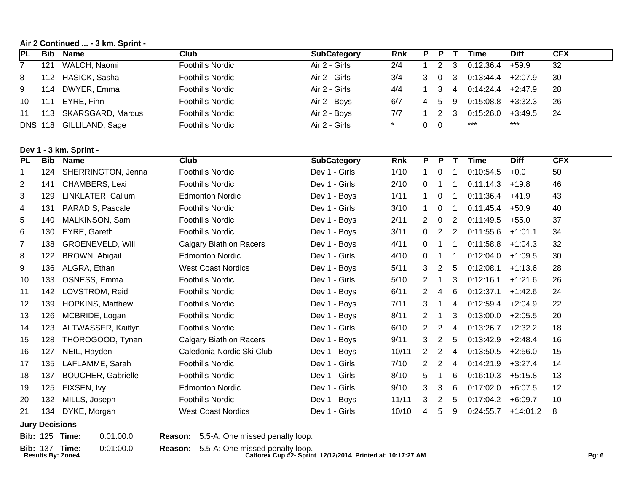**Air 2 Continued ... - 3 km. Sprint -** 

| <b>IPL</b> | Bib | Name                    | Club                    | <b>SubCategory</b> | <b>Rnk</b> |   |    | Time      | Diff      | CFX |
|------------|-----|-------------------------|-------------------------|--------------------|------------|---|----|-----------|-----------|-----|
|            | 121 | WALCH, Naomi            | Foothills Nordic        | Air 2 - Girls      | 2/4        |   |    | 0:12:36.4 | $+59.9$   | 32  |
| 8          | 112 | HASICK, Sasha           | Foothills Nordic        | Air 2 - Girls      | 3/4        |   |    | 0:13:44.4 | $+2:07.9$ | 30  |
| 9          | 114 | DWYER, Emma             | <b>Foothills Nordic</b> | Air 2 - Girls      | 4/4        |   | 4  | 0:14:24.4 | $+2:47.9$ | -28 |
| 10         | 111 | EYRE, Finn              | Foothills Nordic        | Air 2 - Boys       | 6/7        | 5 | -9 | 0:15:08.8 | $+3:32.3$ | 26  |
| 11         | 113 | SKARSGARD, Marcus       | Foothills Nordic        | Air 2 - Boys       | 7/7        |   |    | 0:15:26.0 | $+3:49.5$ | -24 |
|            |     | DNS 118 GILLILAND, Sage | <b>Foothills Nordic</b> | Air 2 - Girls      |            |   |    | ***       | ***       |     |

### **Dev 1 - 3 km. Sprint -**

| <b>PL</b> | <b>Bib</b>            | <b>Name</b>               | <b>Club</b>                    | <b>SubCategory</b> | <b>Rnk</b> | P              | P              |                | Time      | <b>Diff</b> | <b>CFX</b> |
|-----------|-----------------------|---------------------------|--------------------------------|--------------------|------------|----------------|----------------|----------------|-----------|-------------|------------|
| 1         | 124                   | SHERRINGTON, Jenna        | <b>Foothills Nordic</b>        | Dev 1 - Girls      | $1/10$     | 1              | $\mathbf 0$    |                | 0:10:54.5 | $+0.0$      | 50         |
| 2         | 141                   | CHAMBERS, Lexi            | <b>Foothills Nordic</b>        | Dev 1 - Girls      | 2/10       | 0              | 1              |                | 0:11:14.3 | $+19.8$     | 46         |
| 3         | 129                   | LINKLATER, Callum         | <b>Edmonton Nordic</b>         | Dev 1 - Boys       | 1/11       |                | 0              |                | 0:11:36.4 | $+41.9$     | 43         |
| 4         | 131                   | PARADIS, Pascale          | <b>Foothills Nordic</b>        | Dev 1 - Girls      | 3/10       |                | $\Omega$       | -1             | 0:11:45.4 | $+50.9$     | 40         |
| 5         | 140                   | MALKINSON, Sam            | <b>Foothills Nordic</b>        | Dev 1 - Boys       | 2/11       | $\overline{2}$ | $\Omega$       | 2              | 0:11:49.5 | $+55.0$     | 37         |
| 6         | 130                   | EYRE, Gareth              | <b>Foothills Nordic</b>        | Dev 1 - Boys       | 3/11       | 0              | $\overline{2}$ | 2              | 0:11:55.6 | $+1:01.1$   | 34         |
| 7         | 138                   | <b>GROENEVELD, Will</b>   | <b>Calgary Biathlon Racers</b> | Dev 1 - Boys       | 4/11       | $\Omega$       | 1              | -1             | 0:11:58.8 | $+1:04.3$   | 32         |
| 8         | 122                   | BROWN, Abigail            | <b>Edmonton Nordic</b>         | Dev 1 - Girls      | 4/10       | 0              | 1              | -1             | 0:12:04.0 | $+1:09.5$   | 30         |
| 9         | 136                   | ALGRA, Ethan              | <b>West Coast Nordics</b>      | Dev 1 - Boys       | 5/11       | 3              | 2              | 5              | 0:12:08.1 | $+1:13.6$   | 28         |
| 10        | 133                   | OSNESS, Emma              | <b>Foothills Nordic</b>        | Dev 1 - Girls      | 5/10       | 2              | -1             | 3              | 0:12:16.1 | $+1:21.6$   | 26         |
| 11        | 142                   | LOVSTROM, Reid            | <b>Foothills Nordic</b>        | Dev 1 - Boys       | 6/11       | 2              | 4              | 6              | 0:12:37.1 | $+1:42.6$   | 24         |
| 12        | 139                   | <b>HOPKINS, Matthew</b>   | <b>Foothills Nordic</b>        | Dev 1 - Boys       | 7/11       | 3              | -1             | 4              | 0:12:59.4 | $+2:04.9$   | 22         |
| 13        | 126                   | MCBRIDE, Logan            | <b>Foothills Nordic</b>        | Dev 1 - Boys       | 8/11       | $\overline{2}$ | -1             | 3              | 0:13:00.0 | $+2:05.5$   | 20         |
| 14        | 123                   | ALTWASSER, Kaitlyn        | <b>Foothills Nordic</b>        | Dev 1 - Girls      | 6/10       | 2              | $\overline{2}$ | $\overline{4}$ | 0:13:26.7 | $+2:32.2$   | 18         |
| 15        | 128                   | THOROGOOD, Tynan          | <b>Calgary Biathlon Racers</b> | Dev 1 - Boys       | 9/11       | 3              | $\overline{2}$ | 5              | 0:13:42.9 | $+2:48.4$   | 16         |
| 16        | 127                   | NEIL, Hayden              | Caledonia Nordic Ski Club      | Dev 1 - Boys       | 10/11      | 2              | $\overline{2}$ | 4              | 0:13:50.5 | $+2:56.0$   | 15         |
| 17        | 135                   | LAFLAMME, Sarah           | <b>Foothills Nordic</b>        | Dev 1 - Girls      | 7/10       | 2              | 2              | $\overline{4}$ | 0:14:21.9 | $+3:27.4$   | 14         |
| 18        | 137                   | <b>BOUCHER, Gabrielle</b> | <b>Foothills Nordic</b>        | Dev 1 - Girls      | 8/10       | 5              | 1              | 6              | 0:16:10.3 | $+5:15.8$   | 13         |
| 19        | 125                   | FIXSEN, Ivy               | <b>Edmonton Nordic</b>         | Dev 1 - Girls      | 9/10       | 3              | 3              | 6              | 0:17:02.0 | $+6:07.5$   | 12         |
| 20        | 132                   | MILLS, Joseph             | <b>Foothills Nordic</b>        | Dev 1 - Boys       | 11/11      | 3              | 2              | 5              | 0:17:04.2 | $+6:09.7$   | 10         |
| 21        | 134                   | DYKE, Morgan              | <b>West Coast Nordics</b>      | Dev 1 - Girls      | 10/10      | 4              | 5              | 9              | 0:24:55.7 | $+14:01.2$  | 8          |
|           | <b>Jury Decisions</b> |                           |                                |                    |            |                |                |                |           |             |            |

**Bib:** 125 **Time:** 0:01:00.0 **Reason:** 5.5-A: One missed penalty loop.

**Bib:** 137 **Time:** 0:01:00.0 **Reason:** 5.5-A: One missed penalty loop. **Results By: Zone4 Calforex Cup #2- Sprint 12/12/2014 Printed at: 10:17:27 AM Pg: 6**